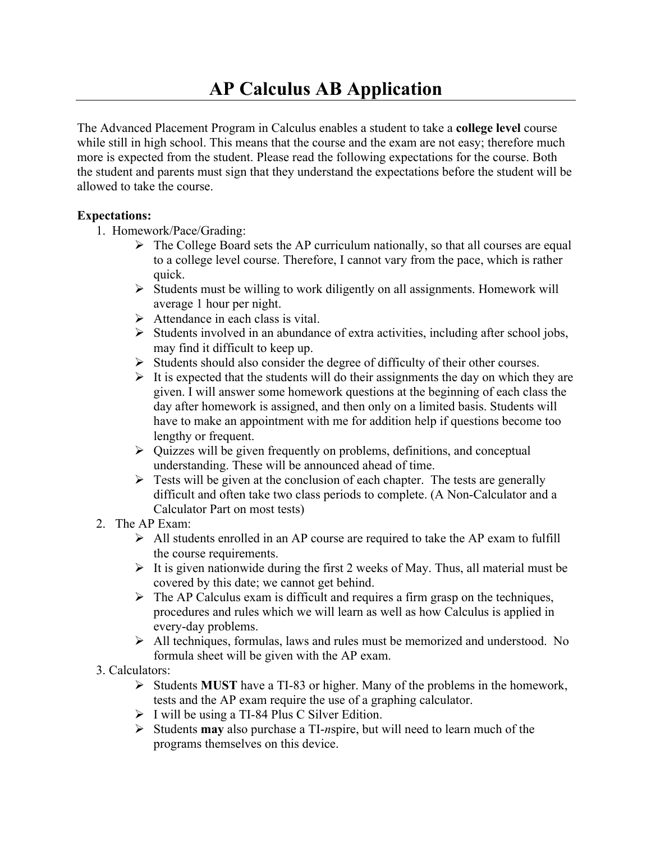The Advanced Placement Program in Calculus enables a student to take a **college level** course while still in high school. This means that the course and the exam are not easy; therefore much more is expected from the student. Please read the following expectations for the course. Both the student and parents must sign that they understand the expectations before the student will be allowed to take the course.

## **Expectations:**

- 1. Homework/Pace/Grading:
	- $\triangleright$  The College Board sets the AP curriculum nationally, so that all courses are equal to a college level course. Therefore, I cannot vary from the pace, which is rather quick.
	- $\triangleright$  Students must be willing to work diligently on all assignments. Homework will average 1 hour per night.
	- $\triangleright$  Attendance in each class is vital.
	- $\triangleright$  Students involved in an abundance of extra activities, including after school jobs, may find it difficult to keep up.
	- $\triangleright$  Students should also consider the degree of difficulty of their other courses.
	- $\triangleright$  It is expected that the students will do their assignments the day on which they are given. I will answer some homework questions at the beginning of each class the day after homework is assigned, and then only on a limited basis. Students will have to make an appointment with me for addition help if questions become too lengthy or frequent.
	- $\triangleright$  Quizzes will be given frequently on problems, definitions, and conceptual understanding. These will be announced ahead of time.
	- $\triangleright$  Tests will be given at the conclusion of each chapter. The tests are generally difficult and often take two class periods to complete. (A Non-Calculator and a Calculator Part on most tests)
- 2. The AP Exam:
	- $\triangleright$  All students enrolled in an AP course are required to take the AP exam to fulfill the course requirements.
	- $\triangleright$  It is given nationwide during the first 2 weeks of May. Thus, all material must be covered by this date; we cannot get behind.
	- $\triangleright$  The AP Calculus exam is difficult and requires a firm grasp on the techniques, procedures and rules which we will learn as well as how Calculus is applied in every-day problems.
	- Ø All techniques, formulas, laws and rules must be memorized and understood. No formula sheet will be given with the AP exam.
- 3. Calculators:
	- Ø Students **MUST** have a TI-83 or higher. Many of the problems in the homework, tests and the AP exam require the use of a graphing calculator.
	- $\triangleright$  I will be using a TI-84 Plus C Silver Edition.
	- Ø Students **may** also purchase a TI-*n*spire, but will need to learn much of the programs themselves on this device.